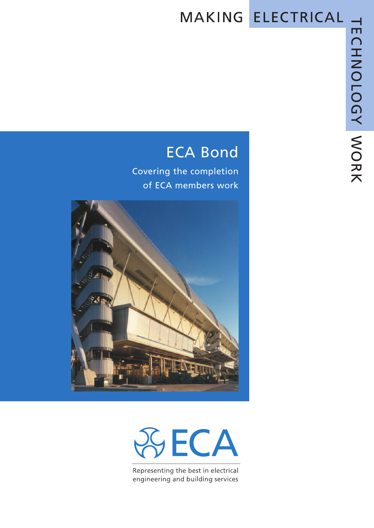# MAKING ELECTRICAL

## ECA Bond

Covering the completion of ECA members work





Representing the best in electrical engineering and building services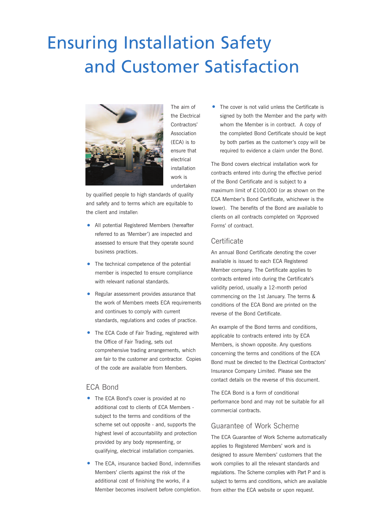# Ensuring Installation Safety and Customer Satisfaction



The aim of the Electrical Contractors' Association (ECA) is to ensure that electrical installation work is undertaken

by qualified people to high standards of quality and safety and to terms which are equitable to the client and installer:

- All potential Registered Members (hereafter referred to as 'Member') are inspected and assessed to ensure that they operate sound business practices.
- The technical competence of the potential member is inspected to ensure compliance with relevant national standards.
- Regular assessment provides assurance that the work of Members meets ECA requirements and continues to comply with current standards, regulations and codes of practice.
- The ECA Code of Fair Trading, registered with the Office of Fair Trading, sets out comprehensive trading arrangements, which are fair to the customer and contractor. Copies of the code are available from Members.

### ECA Bond

- The ECA Bond's cover is provided at no additional cost to clients of ECA Members subject to the terms and conditions of the scheme set out opposite - and, supports the highest level of accountability and protection provided by any body representing, or qualifying, electrical installation companies.
- The ECA, insurance backed Bond, indemnifies Members' clients against the risk of the additional cost of finishing the works, if a Member becomes insolvent before completion.

The cover is not valid unless the Certificate is signed by both the Member and the party with whom the Member is in contract. A copy of the completed Bond Certificate should be kept by both parties as the customer's copy will be required to evidence a claim under the Bond.

The Bond covers electrical installation work for contracts entered into during the effective period of the Bond Certificate and is subject to a maximum limit of £100,000 (or as shown on the ECA Member's Bond Certificate, whichever is the lower). The benefits of the Bond are available to clients on all contracts completed on 'Approved Forms' of contract.

### **Certificate**

An annual Bond Certificate denoting the cover available is issued to each ECA Registered Member company. The Certificate applies to contracts entered into during the Certificate's validity period, usually a 12-month period commencing on the 1st January. The terms & conditions of the ECA Bond are printed on the reverse of the Bond Certificate.

An example of the Bond terms and conditions, applicable to contracts entered into by ECA Members, is shown opposite. Any questions concerning the terms and conditions of the ECA Bond must be directed to the Electrical Contractors' Insurance Company Limited. Please see the contact details on the reverse of this document.

The ECA Bond is a form of conditional performance bond and may not be suitable for all commercial contracts.

### Guarantee of Work Scheme

The ECA Guarantee of Work Scheme automatically applies to Registered Members' work and is designed to assure Members' customers that the work complies to all the relevant standards and regulations. The Scheme complies with Part P and is subject to terms and conditions, which are available from either the ECA website or upon request.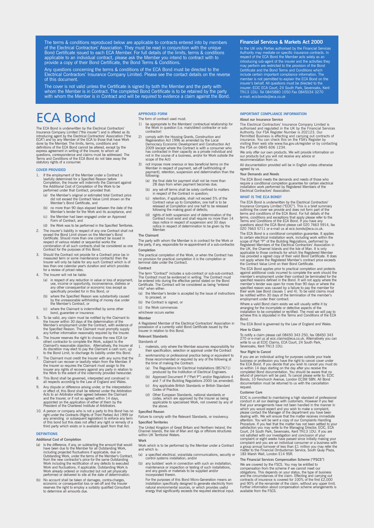The terms & conditions reproduced below are applicable to contracts entered into by members of the Electrical Contractors' Association. They must be read in conjunction with the unique Bond Certificate issued to each ECA Member. For full details of the limits, terms & conditions applicable to an individual contract, please ask the Member you intend to contract with to provide a copy of their Bond Certificate, the Bond Terms & Conditions.

Any questions concerning the terms & conditions of the ECA Bond must be directed to the Electrical Contractors' Insurance Company Limited. Please see the contact details on the reverse of this document.

The cover is not valid unless the Certificate is signed by both the Member and the party with whom the Member is in Contract. The completed Bond Certificate is to be retained by the party with whom the Member is in Contract and will be required to evidence a claim against the Bond.

### ECA Bond

The ECA Bond is underwritten by the Electrical Contractors' Insurance Company Limited ("the insurer") and is offered as its introducing agent by the Electrical Contractors' Association ("the ECA") and by any Member of the ECA to those that have Work done by the Member. The limits, terms, conditions and<br>definitions of the ECA Bond cannot be altered, except by the<br>express agreement in writing of the Insurer, to whom all<br>questions, correspondence and claims must be addre statutory rights of a consumer.

#### **COVER PROVIDED**

- 1. If the employment of the Member under a Contract is<br>lawfully determined for a Specified Reason before<br>Completion, the Insurer will indemnify the Claimant against<br>the Additional Cost of Completion of the Work to be<br>perfo
	- (a) the Member's original or estimated total Contract price did not exceed the Contract Value Limit shown on the Member's Bond Certificate, and
	- (b) no more than 90 days elapsed between the date of the Member's tender for the Work and its acceptance, and
	- (c) the Member had been engaged under an Approved Form of Contract, and
	- (d) the Work was to be performed in the Specified Territories.
- 2. The insurer's liability in respect of any one Contract shall not<br>exceed the Bond Limit shown on the Member's Bond<br>Certificate. Should more than one contract be issued in<br>respect of various related or sequential works th
- 3. Should the Contract not provide for a Contract price (as in measured term or some maintenance contracts) then the Insurer will only be liable for any such Contract which is of less than one calendar year's duration and which provides for a review of priced rates.
- 4. The Insurer will not be liable:
	- (a) in respect of any reduction in value or loss of enjoyment, use, income or opportunity, inconvenience, distress or any other consequential or economic loss except as specifically provided for in this Bond, or
	- (b) where the Specified Reason was substantially caused by the unreasonable withholding of money due under the Member's Contract, or
	- (c) where the Claimant is indemnified by some other bond, guarantee or insurance.
- 5. To be valid, any claim must be notified by the Claimant to<br>the Insurer within 30 days of the determination of the<br>Member's employment under the Contract, with evidence of<br>the Specified Reason. The Claimant must promptly
- 6. The Insurer reserves the right to choose the new ECA (or other) contractor to complete the Work, subject to the<br>Claimant's reasonable objection. Alternatively, the Insurer at<br>its discretion may elect to pay the Claimant a cash sum, up<br>to the Bond Limit, to discharge its liabilit
- 7. The Claimant must credit the Insurer with any sums that the Claimant can recover or lawfully retain from the Member. If<br>the Insurer so requires the Claimant must assign to the<br>Insurer any rights of recovery against any party in relation to<br>the Work to the extent of the indemnity pr
- 8. This Bond shall be governed, interpreted and construed in all respects according to the Law of England and Wales.
- 9. Any dispute or difference arising under, or the interpretation or effect of, this Bond shall be referred under the Arbitration Acts to an Arbitrator either agreed between the Claimant and the Insurer, or if not so agree
- 10. A person or company who is not a party to this Bond has no<br>right under the Contracts (Rights of Third Parties) Act 1999 (or<br>any amending or subsequent legislation) to enforce any term<br>of this bond but this does not aff

#### **DEFINITIONS**

**Additional Cost of Completion**

- (a) Is the difference, if any, on subtracting the amount that would<br>have been due to the Member for all Outstanding Work,<br>including projected fluctuations if applicable, due on<br>Outstanding Work, under the terms of the Memb
- (b) No account shall be taken of damages, contra-charges, economic or consequential loss or set-off and the Insurer reserves the right to employ a suitably qualified Consultant to determine all amounts due.

#### **APPROVED FORM**

The form of contract used must:

- 1) be appropriate to the Members' contractual relationship for the Work in question (i.e. main/direct contractor or sub-contractor)
- 2) comply with the Housing Grants, Construction and Regeneration Act 1996 as amended by the Local Democracy Economic Development and Construction Act 2009 (except where the Contract is with a consumer who has contracted in their capacity as a private individual and not in the course of a business, and/or for Work outside the scope of the Act)
- 3) not impose more onerous or less beneficial terms on the Member in respect of payment, set-off (withholding of payment), retention, suspension and determination than the following:
	- (a) the final date for payment shall not be more than 28 days from when payment becomes due;
	- (b) any set-off terms shall be solely confined to matters in respect of the Contract in question;
	- (c) retention, if applicable, shall not exceed 5% of the Contract value up to Completion, one half is to be released at Completion and one half to be released following the making good of defects;
	- (d) rights of both suspension and of determination of the Contract must exist and shall require no more than 14 days notice in respect of suspension and 30 days notice in respect of determination to be given by the Member.

**The Claimant**

The party with whom the Member is in contract for the Work or the party, if any, responsible for re-appointment of a sub-contractor. **Completion**

The practical completion of the Work, or when the Contract has no provision for practical completion it is the completion or terminal date under the Contract.

#### **Contract**

The term "Contract" includes a sub-contract or sub-sub-contract. The Contract must be evidenced in writing. The Contract must be entered into during the effective period stated on the Bond Certificate. The Contract will be considered as being "entered into" when either:

- (a) the Member's tender is accepted by the issue of instructions to proceed, or
- (b) the Contract is signed, or

(c) the Work commences

#### whichever occurs earlier. **Member**

A Registered Member of the Electrical Contractors' Association in possession of a currently valid Bond Certificate issued by the Insurer in relation to this Bond.

**Relevant Standards**

Standards of

- 1. materials, only where the Member assumes responsibility for their specification, selection or approval under the Contract
- 2. workmanship or professional practice being or equivalent to those recommended or required by any of the following at the time of making the Contract:
- (a) The Regulations for Electrical Installations (BS7671) produced by the Institution of Electrical Engineers.
- (b) Approved Document P ("Part P") and/or Regulations 4 and 7 of the Building Regulations 2000 (as amended).
- (c) Any applicable British Standards or British Standard Codes of Practice. (d) Other European Standards, national standards or
- codes, which are approved by the Insurer as being applicable to specialised Work, not covered by any of the above.

#### **Specified Reason**

Failure to comply with the Relevant Standards, or insolvency. **Specified Territories**

The United Kingdom of Great Britain and Northern Ireland, the Channel Islands, the Isle of Man and rigs or offshore structures within UK Territorial Waters.

#### **Work**

Work which is to be performed by the Member under a Contract and which is:

- (a) a specified electrical, voice/data communications, security or control systems installation; and/or
- (b) any builders' work in connection with such an installation, maintenance or inspection or testing of such installations, and any goods or materials to be supplied and/or incorporated therein.
	- For the purposes of this Bond Micro-Generation means an<br>installation specifically designed to generate electricity from<br>natural environmental sources, or which provides useful<br>nenergy that significantly exceeds the require

#### **Financial Services & Markets Act 2000**

In the UK only Parties authorised by the Financial Services<br>Authority may mediate on specific insurance contracts. In<br>respect of the ECA Bond the Member acts solely as an<br>introducing sub-agent of the insurer and the activi

#### **IMPORTANT COMPLIANCE INFORMATION**

#### **About our Insurance Service**

The Electrical Contractors' Insurance Company Limited is<br>authorised and regulated in the UK by the Financial Services<br>Authority, Our FSA Register Number is 202123. Our<br>Permitted Business is effecting and carrying out contr

We only offer our own products. We will provide information on our products but you will not receive any advice or recommendation from us.

All documentation provided will be in English unless otherwise agreed by us.

#### **Your Demands and Needs**

The ECA Bond meets the demands and needs of those who require a conditional completion guarantee for certain electrical installation work performed by Registered Members of the Electrical Contractors' Association.

#### **WHAT IS THE ECA BOND?**

The ECA Bond is underwritten by the Electrical Contractors'<br>Insurance Company Limited ("ECIC"). This is a brief summary<br>outlining the cover we provide and does not form part of the<br>terms and conditions of the ECA Bond. For terms, conditions and exceptions that apply please refer to the<br>Terms and Conditions of the ECA Bond. If you have any<br>questions about the ECA Bond please call 020 7663 5914, fax<br>020 7663 5711 or e-mail us at ecic.bonds@eca

The ECA Bond is a conditional completion guarantee. It applies<br>to certain electrical installation work, including work within the<br>scope of Part "P" of the Building Regulations, performed by<br>Registered Members of the Electr

The ECA Bond applies prior to practical completion and protects<br>against additional costs incurred to complete the work should the<br>member's employment under their contract be terminated for the<br>specified reasons defined in

Where a valid Bond claim exists we will usually settle it by<br>arranging for the incomplete or defective aspects of the<br>installation to be completed or rectified. The most we will pay to<br>achieve this is stipulated in the Ter Bond.

The ECA Bond is governed by the Law of England and Wales. **How to Claim**

To notify a claim please call 08450 343 250, fax 08450 343 270 or e-mail us at ecic.claims@eca.co.uk. Alternatively you can write to us at ECIC Claims, ECA Court, 24 South Park, Sevenoaks, Kent TN13 1DU.

#### **Your Right to Cancel**

If you are an individual acting for purposes outside your trade<br>business or profession you have the right to cancel cover under<br>the ECA Bond. If you decide that you wish to cancel cyou must do<br>so within 14 days starting on

#### **Customer Care**

ECIC is committed to maintaining a high standard of professional<br>conduct in all our dealings with customers. However if your feel<br>that your arrangements have not been handled in the manner in<br>which you would expect and you complaint or eight weeks have passed since initially making your<br>complaint and you are an individual consumer or a business with<br>a group annual turnover of less than £1 million you may refer the<br>matter to the Financial Omb 183 Marsh Wall, London E14 9SR.

**The Financial Services Compensation Scheme ("FSCS")** We are covered by the FSCS. You may be entitled to compensation from the scheme if we cannot meet our<br>colpgiations. This depends on your status, the type of business<br>and the circumstances of the claim. Effecting and carrying out<br>contracts of insurance is covered for 100% o